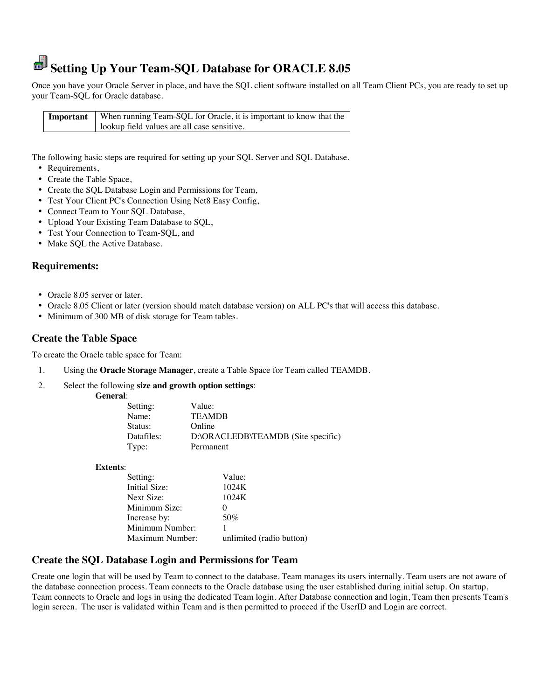# **Setting Up Your Team-SQL Database for ORACLE 8.05**

Once you have your Oracle Server in place, and have the SQL client software installed on all Team Client PCs, you are ready to set up your Team-SQL for Oracle database.

**Important** When running Team-SQL for Oracle, it is important to know that the lookup field values are all case sensitive.

The following basic steps are required for setting up your SQL Server and SQL Database.

- Requirements,
- Create the Table Space,
- Create the SQL Database Login and Permissions for Team,
- Test Your Client PC's Connection Using Net8 Easy Config,
- Connect Team to Your SQL Database,
- Upload Your Existing Team Database to SQL,
- Test Your Connection to Team-SQL, and
- Make SOL the Active Database.

## **Requirements:**

- Oracle 8.05 server or later.
- Oracle 8.05 Client or later (version should match database version) on ALL PC's that will access this database.
- Minimum of 300 MB of disk storage for Team tables.

# **Create the Table Space**

To create the Oracle table space for Team:

- 1. Using the **Oracle Storage Manager**, create a Table Space for Team called TEAMDB.
- 2. Select the following **size and growth option settings**:

| General: |
|----------|
|----------|

| Setting:   | Value:                             |
|------------|------------------------------------|
| Name:      | <b>TEAMDB</b>                      |
| Status:    | Online                             |
| Datafiles: | D:\ORACLEDB\TEAMDB (Site specific) |
| Type:      | Permanent                          |

**Extents**:

| Setting:        | Value:                   |
|-----------------|--------------------------|
| Initial Size:   | 1024K                    |
| Next Size:      | 1024K                    |
| Minimum Size:   |                          |
| Increase by:    | 50%                      |
| Minimum Number: |                          |
| Maximum Number: | unlimited (radio button) |
|                 |                          |

# **Create the SQL Database Login and Permissions for Team**

Create one login that will be used by Team to connect to the database. Team manages its users internally. Team users are not aware of the database connection process. Team connects to the Oracle database using the user established during initial setup. On startup, Team connects to Oracle and logs in using the dedicated Team login. After Database connection and login, Team then presents Team's login screen. The user is validated within Team and is then permitted to proceed if the UserID and Login are correct.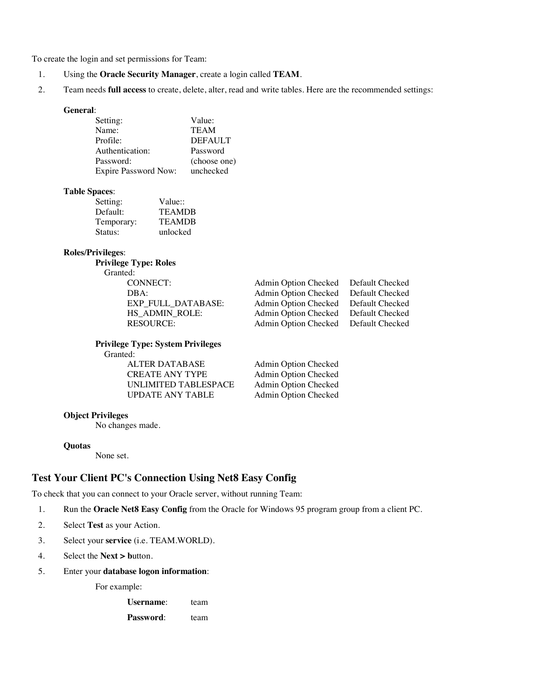To create the login and set permissions for Team:

- 1. Using the **Oracle Security Manager**, create a login called **TEAM**.
- 2. Team needs **full access** to create, delete, alter, read and write tables. Here are the recommended settings:

#### **General**:

| Setting:                    | Value:         |
|-----------------------------|----------------|
| Name:                       | <b>TEAM</b>    |
| Profile:                    | <b>DEFAULT</b> |
| Authentication:             | Password       |
| Password:                   | (choose one)   |
| <b>Expire Password Now:</b> | unchecked      |

#### **Table Spaces**:

| Setting:   | Value::       |
|------------|---------------|
| Default:   | <b>TEAMDB</b> |
| Temporary: | <b>TEAMDB</b> |
| Status:    | unlocked      |
|            |               |

### **Roles/Privileges**:

**Privilege Type: Roles** 

Granted:

| CONNECT:           | Admin Option Checked Default Checked |  |
|--------------------|--------------------------------------|--|
| DBA:               | Admin Option Checked Default Checked |  |
| EXP FULL DATABASE: | Admin Option Checked Default Checked |  |
| HS ADMIN ROLE:     | Admin Option Checked Default Checked |  |
| <b>RESOURCE:</b>   | Admin Option Checked Default Checked |  |
|                    |                                      |  |

 **Privilege Type: System Privileges**  Granted:

> ALTER DATABASE Admin Option Checked<br>
> CREATE ANY TYPE Admin Option Checked UNLIMITED TABLESPACE Admin Option Checked UPDATE ANY TABLE Admin Option Checked

Admin Option Checked

#### **Object Privileges**

No changes made.

#### **Quotas**

None set.

# **Test Your Client PC's Connection Using Net8 Easy Config**

To check that you can connect to your Oracle server, without running Team:

- 1. Run the **Oracle Net8 Easy Config** from the Oracle for Windows 95 program group from a client PC.
- 2. Select **Test** as your Action.
- 3. Select your **service** (i.e. TEAM.WORLD).
- 4. Select the **Next > b**utton.
- 5. Enter your **database logon information**:

For example:

Username: team Password: team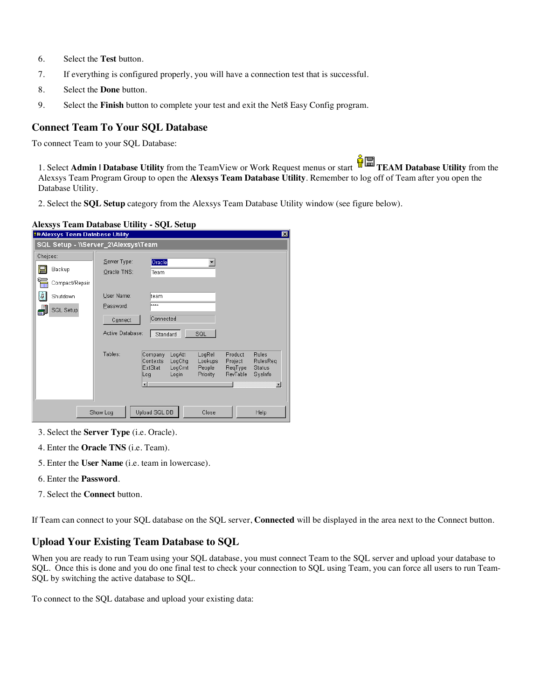- 6. Select the **Test** button.
- 7. If everything is configured properly, you will have a connection test that is successful.
- 8. Select the **Done** button.
- 9. Select the **Finish** button to complete your test and exit the Net8 Easy Config program.

## **Connect Team To Your SQL Database**

To connect Team to your SQL Database:

1. Select **Admin | Database Utility** from the TeamView or Work Request menus or start **TEAM Database Utility** from the Alexsys Team Program Group to open the **Alexsys Team Database Utility**. Remember to log off of Team after you open the Database Utility.

2. Select the **SQL Setup** category from the Alexsys Team Database Utility window (see figure below).

#### **Alexsys Team Database Utility - SQL Setup**

| <b>EAlexsys Team Database Utility</b>      |                                          |                                                                              |                                         |                                           | $\vert x \vert$                                      |  |
|--------------------------------------------|------------------------------------------|------------------------------------------------------------------------------|-----------------------------------------|-------------------------------------------|------------------------------------------------------|--|
| SQL Setup - \\Server_2\Alexsys\Team        |                                          |                                                                              |                                         |                                           |                                                      |  |
| Choices:                                   | Server Type:                             | Oracle                                                                       |                                         |                                           |                                                      |  |
| H<br>Backup<br>ħ<br>Compact/Repair         | Oracle TNS:                              | Team                                                                         |                                         |                                           |                                                      |  |
| Ù.<br>Shutdown                             | User Name:                               | team                                                                         |                                         |                                           |                                                      |  |
| SQL Setup<br>繭                             | Password:<br>Connect<br>Active Database: | ****<br>Connected<br>Standard                                                | SQL                                     |                                           |                                                      |  |
|                                            | Tables:                                  | Company<br>LogAtt<br>Contexts<br>LogChg<br>ExtStat<br>LogCmt<br>Login<br>Log | LogRel<br>Lookups<br>People<br>Priority | Product<br>Project<br>ReqType<br>RevTable | <b>Rules</b><br>RulesReg<br><b>Status</b><br>SysInfo |  |
|                                            |                                          | $\blacksquare$                                                               |                                         |                                           | $\blacksquare$                                       |  |
| Upload SQL DB<br>Show Log<br>Close<br>Help |                                          |                                                                              |                                         |                                           |                                                      |  |

- 3. Select the **Server Type** (i.e. Oracle).
- 4. Enter the **Oracle TNS** (i.e. Team).
- 5. Enter the **User Name** (i.e. team in lowercase).
- 6. Enter the **Password**.
- 7. Select the **Connect** button.

If Team can connect to your SQL database on the SQL server, **Connected** will be displayed in the area next to the Connect button.

# **Upload Your Existing Team Database to SQL**

When you are ready to run Team using your SQL database, you must connect Team to the SQL server and upload your database to SQL. Once this is done and you do one final test to check your connection to SQL using Team, you can force all users to run Team-SQL by switching the active database to SQL.

To connect to the SQL database and upload your existing data: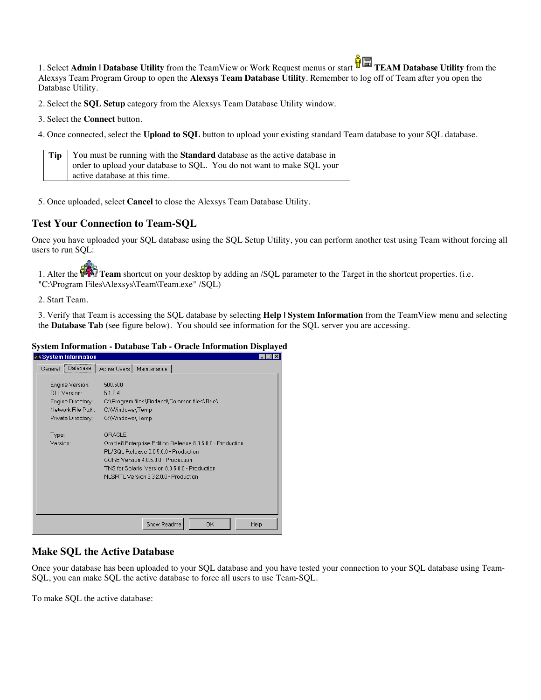1. Select **Admin | Database Utility** from the TeamView or Work Request menus or start **TEAM Database Utility** from the Alexsys Team Program Group to open the **Alexsys Team Database Utility**. Remember to log off of Team after you open the Database Utility.

2. Select the **SQL Setup** category from the Alexsys Team Database Utility window.

- 3. Select the **Connect** button.
- 4. Once connected, select the **Upload to SQL** button to upload your existing standard Team database to your SQL database.

| <b>Tip</b> You must be running with the <b>Standard</b> database as the active database in |
|--------------------------------------------------------------------------------------------|
| order to upload your database to SQL. You do not want to make SQL your                     |
| active database at this time.                                                              |

5. Once uploaded, select **Cancel** to close the Alexsys Team Database Utility.

# **Test Your Connection to Team-SQL**

Once you have uploaded your SQL database using the SQL Setup Utility, you can perform another test using Team without forcing all users to run SOL:

1. Alter the **TAM** Team shortcut on your desktop by adding an /SQL parameter to the Target in the shortcut properties. (i.e. "C:\Program Files\Alexsys\Team\Team.exe" /SQL)

2. Start Team.

3. Verify that Team is accessing the SQL database by selecting **Help | System Information** from the TeamView menu and selecting the **Database Tab** (see figure below). You should see information for the SQL server you are accessing.

#### **System Information - Database Tab - Oracle Information Displayed**

| <b>Fig.System Information</b>                                                                    |                                                                                                                                                                                                                                                 | - 101 X I |
|--------------------------------------------------------------------------------------------------|-------------------------------------------------------------------------------------------------------------------------------------------------------------------------------------------------------------------------------------------------|-----------|
| Database  <br>General                                                                            | Active Users<br>Maintenance                                                                                                                                                                                                                     |           |
| Engine Version:<br>DLL Version:<br>Engine Directory:<br>Network File Path:<br>Private Directory: | 500,500<br>5.1.0.4<br>C:\Proqram files\Borland\Common files\Bde\<br>C:\Windows\Temp<br>C:\Windows\Temp                                                                                                                                          |           |
| Type:<br>Version:                                                                                | ORACLE<br>Oracle8 Enterprise Edition Release 8.0.5.0.0 - Production<br>PL/SQL Release 8.0.5.0.0 - Production<br>CORE Version 4.0.5.0.0 - Production<br>TNS for Solaris: Version 8.0.5.0.0 - Production<br>NLSRTL Version 3.3.2.0.0 - Production |           |
|                                                                                                  | OK<br>Show Readme                                                                                                                                                                                                                               | Help      |

# **Make SQL the Active Database**

Once your database has been uploaded to your SQL database and you have tested your connection to your SQL database using Team-SQL, you can make SQL the active database to force all users to use Team-SQL.

To make SQL the active database: